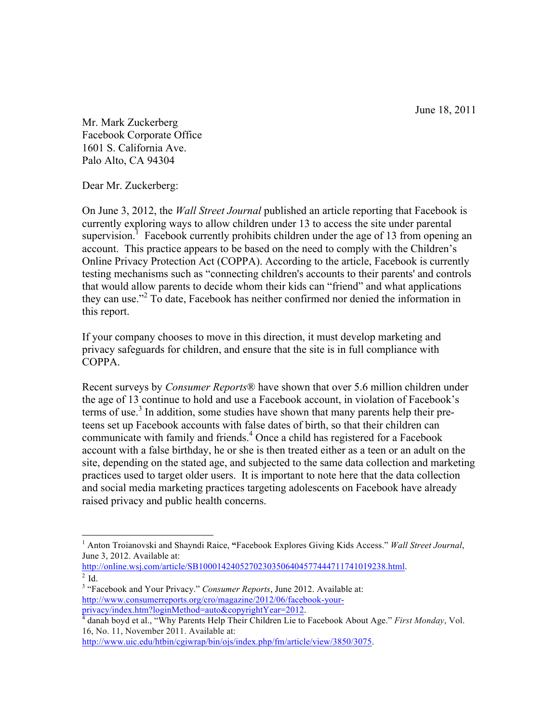June 18, 2011

Mr. Mark Zuckerberg Facebook Corporate Office 1601 S. California Ave. Palo Alto, CA 94304

Dear Mr. Zuckerberg:

On June 3, 2012, the *Wall Street Journal* published an article reporting that Facebook is currently exploring ways to allow children under 13 to access the site under parental supervision.<sup>1</sup> Facebook currently prohibits children under the age of 13 from opening an account. This practice appears to be based on the need to comply with the Children's Online Privacy Protection Act (COPPA). According to the article, Facebook is currently testing mechanisms such as "connecting children's accounts to their parents' and controls that would allow parents to decide whom their kids can "friend" and what applications they can use."<sup>2</sup> To date, Facebook has neither confirmed nor denied the information in this report.

If your company chooses to move in this direction, it must develop marketing and privacy safeguards for children, and ensure that the site is in full compliance with COPPA.

Recent surveys by *Consumer Reports*® have shown that over 5.6 million children under the age of 13 continue to hold and use a Facebook account, in violation of Facebook's terms of use.<sup>3</sup> In addition, some studies have shown that many parents help their preteens set up Facebook accounts with false dates of birth, so that their children can communicate with family and friends.<sup>4</sup> Once a child has registered for a Facebook account with a false birthday, he or she is then treated either as a teen or an adult on the site, depending on the stated age, and subjected to the same data collection and marketing practices used to target older users. It is important to note here that the data collection and social media marketing practices targeting adolescents on Facebook have already raised privacy and public health concerns.

http://online.wsj.com/article/SB10001424052702303506404577444711741019238.html.  $2$  Id.

 <sup>1</sup> Anton Troianovski and Shayndi Raice, **"**Facebook Explores Giving Kids Access." *Wall Street Journal*, June 3, 2012. Available at:

<sup>3</sup> "Facebook and Your Privacy." *Consumer Reports*, June 2012. Available at: http://www.consumerreports.org/cro/magazine/2012/06/facebook-your-

privacy/index.htm?loginMethod=auto&copyrightYear=2012.<br><sup>4</sup> danah boyd et al., "Why Parents Help Their Children Lie to Facebook About Age." *First Monday*, Vol. 16, No. 11, November 2011. Available at:

http://www.uic.edu/htbin/cgiwrap/bin/ojs/index.php/fm/article/view/3850/3075.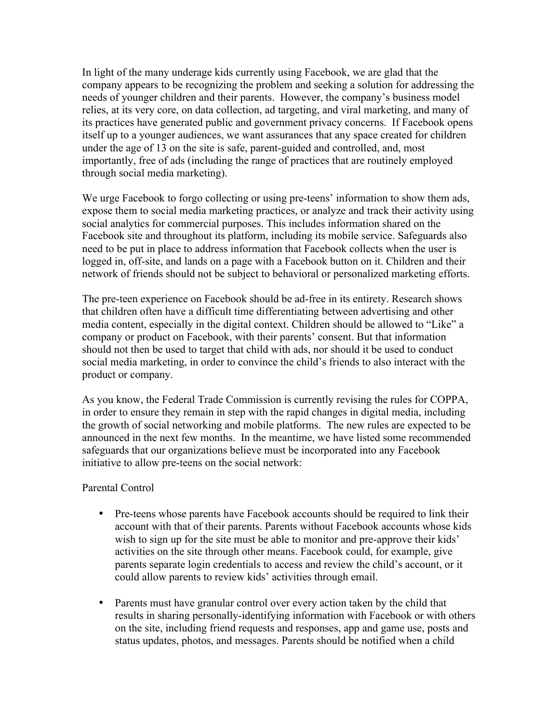In light of the many underage kids currently using Facebook, we are glad that the company appears to be recognizing the problem and seeking a solution for addressing the needs of younger children and their parents. However, the company's business model relies, at its very core, on data collection, ad targeting, and viral marketing, and many of its practices have generated public and government privacy concerns. If Facebook opens itself up to a younger audiences, we want assurances that any space created for children under the age of 13 on the site is safe, parent-guided and controlled, and, most importantly, free of ads (including the range of practices that are routinely employed through social media marketing).

We urge Facebook to forgo collecting or using pre-teens' information to show them ads, expose them to social media marketing practices, or analyze and track their activity using social analytics for commercial purposes. This includes information shared on the Facebook site and throughout its platform, including its mobile service. Safeguards also need to be put in place to address information that Facebook collects when the user is logged in, off-site, and lands on a page with a Facebook button on it. Children and their network of friends should not be subject to behavioral or personalized marketing efforts.

The pre-teen experience on Facebook should be ad-free in its entirety. Research shows that children often have a difficult time differentiating between advertising and other media content, especially in the digital context. Children should be allowed to "Like" a company or product on Facebook, with their parents' consent. But that information should not then be used to target that child with ads, nor should it be used to conduct social media marketing, in order to convince the child's friends to also interact with the product or company.

As you know, the Federal Trade Commission is currently revising the rules for COPPA, in order to ensure they remain in step with the rapid changes in digital media, including the growth of social networking and mobile platforms. The new rules are expected to be announced in the next few months. In the meantime, we have listed some recommended safeguards that our organizations believe must be incorporated into any Facebook initiative to allow pre-teens on the social network:

## Parental Control

- Pre-teens whose parents have Facebook accounts should be required to link their account with that of their parents. Parents without Facebook accounts whose kids wish to sign up for the site must be able to monitor and pre-approve their kids' activities on the site through other means. Facebook could, for example, give parents separate login credentials to access and review the child's account, or it could allow parents to review kids' activities through email.
- Parents must have granular control over every action taken by the child that results in sharing personally-identifying information with Facebook or with others on the site, including friend requests and responses, app and game use, posts and status updates, photos, and messages. Parents should be notified when a child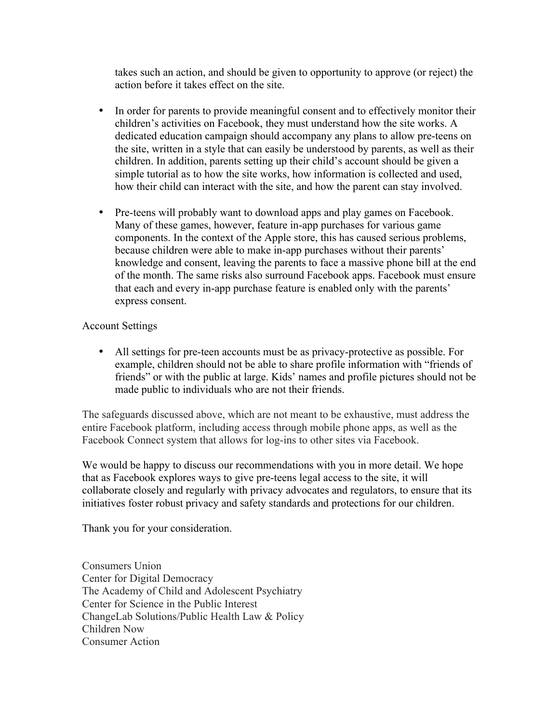takes such an action, and should be given to opportunity to approve (or reject) the action before it takes effect on the site.

- In order for parents to provide meaningful consent and to effectively monitor their children's activities on Facebook, they must understand how the site works. A dedicated education campaign should accompany any plans to allow pre-teens on the site, written in a style that can easily be understood by parents, as well as their children. In addition, parents setting up their child's account should be given a simple tutorial as to how the site works, how information is collected and used, how their child can interact with the site, and how the parent can stay involved.
- Pre-teens will probably want to download apps and play games on Facebook. Many of these games, however, feature in-app purchases for various game components. In the context of the Apple store, this has caused serious problems, because children were able to make in-app purchases without their parents' knowledge and consent, leaving the parents to face a massive phone bill at the end of the month. The same risks also surround Facebook apps. Facebook must ensure that each and every in-app purchase feature is enabled only with the parents' express consent.

## Account Settings

• All settings for pre-teen accounts must be as privacy-protective as possible. For example, children should not be able to share profile information with "friends of friends" or with the public at large. Kids' names and profile pictures should not be made public to individuals who are not their friends.

The safeguards discussed above, which are not meant to be exhaustive, must address the entire Facebook platform, including access through mobile phone apps, as well as the Facebook Connect system that allows for log-ins to other sites via Facebook.

We would be happy to discuss our recommendations with you in more detail. We hope that as Facebook explores ways to give pre-teens legal access to the site, it will collaborate closely and regularly with privacy advocates and regulators, to ensure that its initiatives foster robust privacy and safety standards and protections for our children.

Thank you for your consideration.

Consumers Union Center for Digital Democracy The Academy of Child and Adolescent Psychiatry Center for Science in the Public Interest ChangeLab Solutions/Public Health Law & Policy Children Now Consumer Action